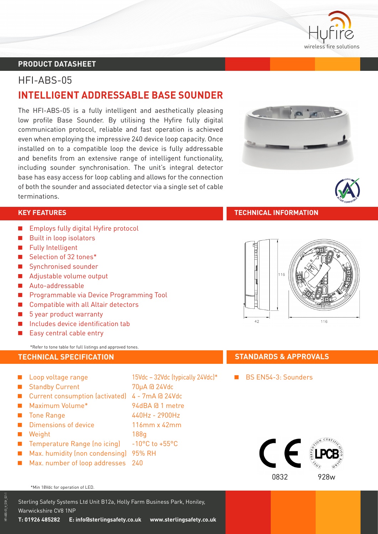

**ARGUS**

**ALT A**<br> **A**<br> **A**<br> **A**<br> **COMPATIBLE** 

### **PRODUCT DATASHEET PRODUCT DATASHEET**

# HFI-ABS-05 **INTELLIGENT ADDRESSABLE BASE SOUNDER**

The HFI-ABS-05 is a fully intelligent and aesthetically pleasing low profile Base Sounder. By utilising the Hyfire fully digital communication protocol, reliable and fast operation is achieved even when employing the impressive 240 device loop capacity. Once installed on to a compatible loop the device is fully addressable and benefits from an extensive range of intelligent functionality, including sounder synchronisation. The unit's integral detector base has easy access for loop cabling and allows for the connection of both the sounder and associated detector via a single set of cable terminations.

- **Employs fully digital Hyfire protocol**
- **Built in loop isolators**
- **Fully Intelligent**
- Selection of 32 tones<sup>\*</sup>
- **B** Synchronised sounder
- Adjustable volume output
- Auto-addressable
- **A Programmable via Device Programming Tool**
- **Compatible with all Altair detectors**
- 5 year product warranty
- $\blacksquare$  Includes device identification tab
- $\blacksquare$  Easy central cable entry

\*Refer to tone table for full listings and approved tones.

- Loop voltage range 15Vdc 32Vdc (typically 24Vdc)<sup>\*</sup> ■ Standby Current 70uA @ 24Vdc ■ Current consumption (activated) 4 - 7mA @ 24Vdc ■ Maximum Volume<sup>\*</sup> 94dBA @ 1 metre ■ Tone Range 440Hz - 2900Hz ■ Dimensions of device 116mm x 42mm **A** Weight 188g ■ Temperature Range (no icing) -10°C to +55°C **Max. humidity (non condensing) 95% RH**
- **Max. number of loop addresses** 240

#### \*Min 18Vdc for operation of LED.

Sterling Safety Systems Ltd Unit B12a, Holly Farm Business Park, Honiley, Warwickshire CV8 1NP **T: 01926 485282 E: info@sterlingsafety.co.uk www.sterlingsafety.co.uk**







#### **TECHNICAL SPECIFICATION STANDARDS & APPROVALS**

BS FN54-3: Sounders

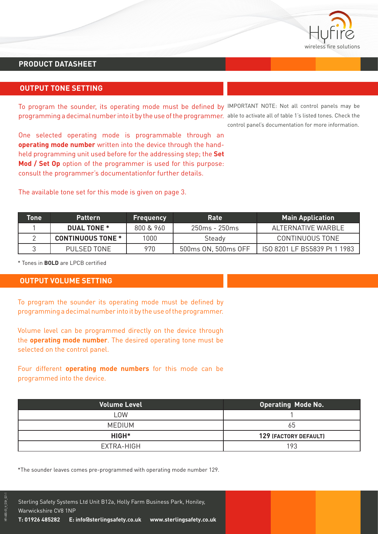

## **PRODUCT DATASHEET**

### **OUTPUT TONE SETTING**

To program the sounder, its operating mode must be defined by IMPORTANT NOTE: Not all control panels may be programming a decimal number into it by the use of the programmer. able to activate all of table 1's listed tones. Check the

One selected operating mode is programmable through an **operating mode number** written into the device through the handheld programming unit used before for the addressing step; the **Set Mod / Set Op** option of the programmer is used for this purpose: consult the programmer's documentationfor further details.

The available tone set for this mode is given on page 3.

control panel's documentation for more information.

| Tone | <b>Pattern</b>           | <b>Frequency</b> | <b>Rate</b>         | <b>Main Application</b>      |
|------|--------------------------|------------------|---------------------|------------------------------|
|      | <b>DUAL TONE *</b>       | 800 & 960        | 250ms - 250ms       | ALTERNATIVE WARBLE           |
|      | <b>CONTINUOUS TONE *</b> | 1000             | Steady              | CONTINUOUS TONE              |
|      | 970<br>PULSED TONE       |                  | 500ms ON, 500ms OFF | ISO 8201 LF BS5839 Pt 1 1983 |

\* Tones in **BOLD** are LPCB certified

#### **OUTPUT VOLUME SETTING**

To program the sounder its operating mode must be defined by programming a decimal number into it by the use of the programmer.

Volume level can be programmed directly on the device through the **operating mode number**. The desired operating tone must be selected on the control panel.

Four different **operating mode numbers** for this mode can be programmed into the device.

| <b>Volume Level</b> | <b>Operating Mode No.</b> |
|---------------------|---------------------------|
| LOW                 |                           |
| <b>MEDIUM</b>       | 65                        |
| HIGH <sup>*</sup>   | 129 (FACTORY DEFAULT)     |
| EXTRA-HIGH          | 193                       |

\*The sounder leaves comes pre-programmed with operating mode number 129.